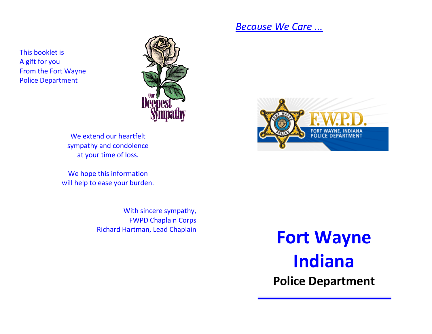### *Because We Care ...*

This booklet is A gift for you From the Fort Wayne Police Department



We extend our heartfelt sympathy and condolence at your time of loss.

We hope this information will help to ease your burden.

> With sincere sympathy, FWPD Chaplain Corps Richard Hartman, Lead Chaplain



**Fort Wayne Indiana Police Department**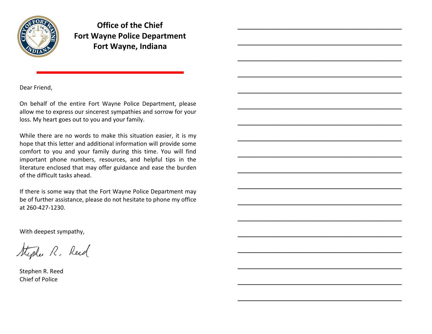

**Office of the Chief Fort Wayne Police Department Fort Wayne, Indiana**

\_\_\_\_\_\_\_\_\_\_\_\_\_\_\_\_\_\_\_\_\_\_\_\_\_\_\_\_\_\_\_\_\_\_\_\_\_\_

\_\_\_\_\_\_\_\_\_\_\_\_\_\_\_\_\_\_\_\_\_\_\_\_\_\_\_\_\_\_\_\_\_\_\_\_\_\_

\_\_\_\_\_\_\_\_\_\_\_\_\_\_\_\_\_\_\_\_\_\_\_\_\_\_\_\_\_\_\_\_\_\_\_\_\_\_

\_\_\_\_\_\_\_\_\_\_\_\_\_\_\_\_\_\_\_\_\_\_\_\_\_\_\_\_\_\_\_\_\_\_\_\_\_\_

\_\_\_\_\_\_\_\_\_\_\_\_\_\_\_\_\_\_\_\_\_\_\_\_\_\_\_\_\_\_\_\_\_\_\_\_\_\_

\_\_\_\_\_\_\_\_\_\_\_\_\_\_\_\_\_\_\_\_\_\_\_\_\_\_\_\_\_\_\_\_\_\_\_\_\_\_

\_\_\_\_\_\_\_\_\_\_\_\_\_\_\_\_\_\_\_\_\_\_\_\_\_\_\_\_\_\_\_\_\_\_\_\_\_\_

\_\_\_\_\_\_\_\_\_\_\_\_\_\_\_\_\_\_\_\_\_\_\_\_\_\_\_\_\_\_\_\_\_\_\_\_\_\_

\_\_\_\_\_\_\_\_\_\_\_\_\_\_\_\_\_\_\_\_\_\_\_\_\_\_\_\_\_\_\_\_\_\_\_\_\_\_

\_\_\_\_\_\_\_\_\_\_\_\_\_\_\_\_\_\_\_\_\_\_\_\_\_\_\_\_\_\_\_\_\_\_\_\_\_\_

\_\_\_\_\_\_\_\_\_\_\_\_\_\_\_\_\_\_\_\_\_\_\_\_\_\_\_\_\_\_\_\_\_\_\_\_\_\_

\_\_\_\_\_\_\_\_\_\_\_\_\_\_\_\_\_\_\_\_\_\_\_\_\_\_\_\_\_\_\_\_\_\_\_\_\_\_

\_\_\_\_\_\_\_\_\_\_\_\_\_\_\_\_\_\_\_\_\_\_\_\_\_\_\_\_\_\_\_\_\_\_\_\_\_\_

\_\_\_\_\_\_\_\_\_\_\_\_\_\_\_\_\_\_\_\_\_\_\_\_\_\_\_\_\_\_\_\_\_\_\_\_\_\_

\_\_\_\_\_\_\_\_\_\_\_\_\_\_\_\_\_\_\_\_\_\_\_\_\_\_\_\_\_\_\_\_\_\_\_\_\_\_

\_\_\_\_\_\_\_\_\_\_\_\_\_\_\_\_\_\_\_\_\_\_\_\_\_\_\_\_\_\_\_\_\_\_\_\_\_\_

\_\_\_\_\_\_\_\_\_\_\_\_\_\_\_\_\_\_\_\_\_\_\_\_\_\_\_\_\_\_\_\_\_\_\_\_\_\_

\_\_\_\_\_\_\_\_\_\_\_\_\_\_\_\_\_\_\_\_\_\_\_\_\_\_\_\_\_\_\_\_\_\_\_\_\_\_

Dear Friend,

On behalf of the entire Fort Wayne Police Department, please allow me to express our sincerest sympathies and sorrow for your loss. My heart goes out to you and your family.

While there are no words to make this situation easier, it is my hope that this letter and additional information will provide some comfort to you and your family during this time. You will find important phone numbers, resources, and helpful tips in the literature enclosed that may offer guidance and ease the burden of the difficult tasks ahead.

If there is some way that the Fort Wayne Police Department may be of further assistance, please do not hesitate to phone my office at 260-427-1230.

With deepest sympathy,

Stephen R. Reed

Stephen R. Reed Chief of Police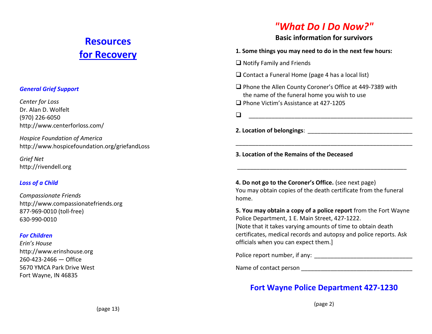## **Resources for Recovery**

(page 13)

#### *General Grief Support*

*Center for Loss*  Dr. Alan D. Wolfelt (970) 226-6050 http://www.centerforloss.com/

*Hospice Foundation of America* http://www.hospicefoundation.org/griefandLoss

*Grief Net* http://rivendell.org

#### *Loss of a Child*

*Compassionate Friends* http://www.compassionatefriends.org 877-969-0010 (toll-free) 630-990-0010

#### *For Children*

*Erin's House*  http://www.erinshouse.org 260-423-2466 — Office 5670 YMCA Park Drive West Fort Wayne, IN 46835

### *"What Do I Do Now?"*

#### **Basic information for survivors**

|  |  |  |  |  |  | 1. Some things you may need to do in the next few hours: |  |  |
|--|--|--|--|--|--|----------------------------------------------------------|--|--|
|--|--|--|--|--|--|----------------------------------------------------------|--|--|

 $\Box$  Notify Family and Friends

 $\Box$  Contact a Funeral Home (page 4 has a local list)

□ Phone the Allen County Coroner's Office at 449-7389 with the name of the funeral home you wish to use

□ Phone Victim's Assistance at 427-1205

\_\_\_\_\_\_\_\_\_\_\_\_\_\_\_\_\_\_\_\_\_\_\_\_\_\_\_\_\_\_\_\_\_\_\_\_\_\_\_\_\_\_\_\_\_\_\_\_\_\_

**2. Location of belongings**: \_\_\_\_\_\_\_\_\_\_\_\_\_\_\_\_\_\_\_\_\_\_\_\_\_\_\_\_\_\_\_\_

**3. Location of the Remains of the Deceased**

**4. Do not go to the Coroner's Office.** (see next page) You may obtain copies of the death certificate from the funeral home.

\_\_\_\_\_\_\_\_\_\_\_\_\_\_\_\_\_\_\_\_\_\_\_\_\_\_\_\_\_\_\_\_\_\_\_\_\_\_\_\_\_\_\_\_\_\_\_\_\_\_\_\_

\_\_\_\_\_\_\_\_\_\_\_\_\_\_\_\_\_\_\_\_\_\_\_\_\_\_\_\_\_\_\_\_\_\_\_\_\_\_\_\_\_\_\_\_\_\_\_\_\_\_\_\_\_\_

**5. You may obtain a copy of a police report** from the Fort Wayne Police Department, 1 E. Main Street, 427-1222. [Note that it takes varying amounts of time to obtain death certificates, medical records and autopsy and police reports. Ask officials when you can expect them.]

Police report number, if any: \_\_\_\_\_\_\_\_\_\_\_\_\_\_\_\_\_\_\_\_\_\_\_\_\_\_\_\_\_\_

Name of contact person \_\_\_\_\_\_\_\_\_\_\_\_\_\_\_\_\_\_\_\_\_\_\_\_\_\_\_\_\_\_\_\_\_\_

### **Fort Wayne Police Department 427-1230**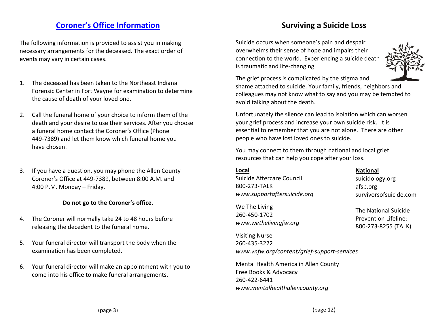### **Coroner's Office Information**

The following information is provided to assist you in making necessary arrangements for the deceased. The exact order of events may vary in certain cases.

- 1. The deceased has been taken to the Northeast Indiana Forensic Center in Fort Wayne for examination to determine the cause of death of your loved one.
- 2. Call the funeral home of your choice to inform them of the death and your desire to use their services. After you choose a funeral home contact the Coroner's Office (Phone 449-7389) and let them know which funeral home you have chosen.
- 3. If you have a question, you may phone the Allen County Coroner's Office at 449-7389, between 8:00 A.M. and 4:00 P.M. Monday – Friday.

#### **Do not go to the Coroner's office**.

- 4. The Coroner will normally take 24 to 48 hours before releasing the decedent to the funeral home.
- 5. Your funeral director will transport the body when the examination has been completed.
- 6. Your funeral director will make an appointment with you to come into his office to make funeral arrangements.

### **Surviving a Suicide Loss**

Suicide occurs when someone's pain and despair overwhelms their sense of hope and impairs their connection to the world. Experiencing a suicide death is traumatic and life-changing.



The grief process is complicated by the stigma and shame attached to suicide. Your family, friends, neighbors and colleagues may not know what to say and you may be tempted to avoid talking about the death.

Unfortunately the silence can lead to isolation which can worsen your grief process and increase your own suicide risk. It is essential to remember that you are not alone. There are other people who have lost loved ones to suicide.

You may connect to them through national and local grief resources that can help you cope after your loss.

#### **Local**

Suicide Aftercare Council 800-273-TALK *www.supportaftersuicide.org*

We The Living 260-450-1702 *www.wethelivingfw.org*

Visiting Nurse 260-435-3222 *www.vnfw.org/content/grief-support-services*

Mental Health America in Allen County Free Books & Advocacy 260-422-6441 *www.mentalhealthallencounty.org*

**National**

suicidology.org afsp.org survivorsofsuicide.com

The National Suicide Prevention Lifeline: 800-273-8255 (TALK)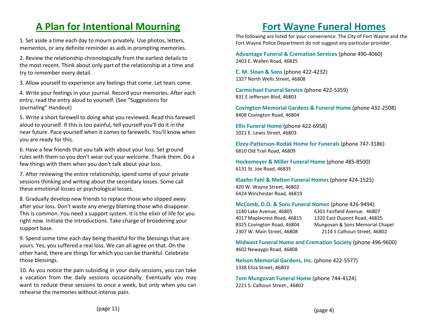# **A Plan for Intentional Mourning**

1. Set aside a time each day to mourn privately. Use photos, letters, mementos, or any definite reminder as aids in prompting memories.

2. Review the relationship chronologically from the earliest details to the most recent. Think about only part of the relationship at a time and try to remember every detail.

3. Allow yourself to experience any feelings that come. Let tears come.

4. Write your feelings in your journal. Record your memories. After each entry, read the entry aloud to yourself. (See "Suggestions for Journaling" Handout)

5. Write a short farewell to doing what you reviewed. Read this farewell aloud to yourself. If this is too painful, tell yourself you'll do it in the near future. Pace yourself when it comes to farewells. You'll know when you are ready for this.

6. Have a few friends that you talk with about your loss. Set ground rules with them so you don't wear out your welcome. Thank them. Do a few things with them when you don't talk about your loss.

7. After reviewing the entire relationship, spend some of your private sessions thinking and writing about the secondary losses. Some call these emotional losses or psychological losses.

8. Gradually develop new friends to replace those who slipped away after your loss. Don't waste any energy blaming those who disappear. This is common. You need a support system. It is the elixir of life for you right now. Initiate the introductions. Take charge of broadening your support base.

9. Spend some time each day being thankful for the blessings that are yours. Yes, you suffered a real loss. We can all agree on that. On the other hand, there are things for which you can be thankful. Celebrate those blessings.

10. As you notice the pain subsiding in your daily sessions, you can take a vacation from the daily sessions occasionally. Eventually you may want to reduce these sessions to once a week, but only when you can rehearse the memories without intense pain.

## **Fort Wayne Funeral Homes**

The following are listed for your convenience. The City of Fort Wayne and the Fort Wayne Police Department do not suggest any particular provider.

**Advantage Funeral & Cremation Services** (phone 490-4060) 2403 E. Wallen Road, 46825

**C. M. Sloan & Sons** (phone 422-4232) 1327 North Wells Street, 46808

**Carmichael Funeral Service** (phone 422-5359) 831 E Jefferson Blvd, 46803

**Covington Memorial Gardens & Funeral Home** (phone 432-2508) 8408 Covington Road, 46804

**Ellis Funeral Home** (phone 422-6958) 1021 E. Lewis Street, 46803

**Elzey-Patterson-Rodak Home for Funerals** (phone 747-3186) 6810 Old Trail Road, 46809

**Hockemeyer & Miller Funeral Home** (phone 485-8500) 6131 St. Joe Road, 46835

**Klaehn Fahl & Melton Funeral Homes** (phone 424-1525) 420 W. Wayne Street, 46802 6424 Winchester Road, 46819

**McComb, D.O. & Sons Funeral Homes** (phone 426-9494) 1140 Lake Avenue, 46805 6301 Fairfield Avenue. 46807 4017 Maplecrest Road, 46815 1320 East Dupont Road, 46825 8325 Covington Road, 46804 Mungovan & Sons Memorial Chapel 2307 W. Main Street, 46808 2114 S Calhoun Street, 46802

**Midwest Funeral Home and Cremation Society** (phone 496-9600) 4602 Newaygo Road, 46808

**Nelson Memorial Gardens, Inc.** (phone 422-5577) 1338 Eliza Street, 46803

**Tom Mungovan Funeral Home** (phone 744-4124) 2221 S. Calhoun Street., 46802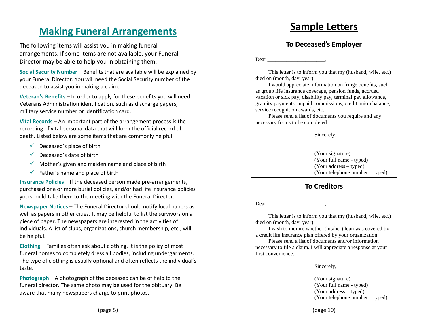## **Making Funeral Arrangements**

The following items will assist you in making funeral arrangements. If some items are not available, your Funeral Director may be able to help you in obtaining them.

**Social Security Number** – Benefits that are available will be explained by your Funeral Director. You will need the Social Security number of the deceased to assist you in making a claim.

**Veteran's Benefits** – In order to apply for these benefits you will need Veterans Administration identification, such as discharge papers, military service number or identification card.

**Vital Records** – An important part of the arrangement process is the recording of vital personal data that will form the official record of death. Listed below are some items that are commonly helpful.

- $\checkmark$  Deceased's place of birth
- $\checkmark$  Deceased's date of birth
- $\checkmark$  Mother's given and maiden name and place of birth
- $\checkmark$  Father's name and place of birth

**Insurance Policies** – If the deceased person made pre-arrangements, purchased one or more burial policies, and/or had life insurance policies you should take them to the meeting with the Funeral Director.

**Newspaper Notices** – The Funeral Director should notify local papers as well as papers in other cities. It may be helpful to list the survivors on a piece of paper. The newspapers are interested in the activities of individuals. A list of clubs, organizations, church membership, etc., will be helpful.

**Clothing** – Families often ask about clothing. It is the policy of most funeral homes to completely dress all bodies, including undergarments. The type of clothing is usually optional and often reflects the individual's taste.

**Photograph** – A photograph of the deceased can be of help to the funeral director. The same photo may be used for the obituary. Be aware that many newspapers charge to print photos.

# **Sample Letters**

### **To Deceased's Employer**

Dear  $\Box$ 

This letter is to inform you that my (husband, wife, etc.) died on (month, day, year).

I would appreciate information on fringe benefits, such as group life insurance coverage, pension funds, accrued vacation or sick pay, disability pay, terminal pay allowance, gratuity payments, unpaid commissions, credit union balance, service recognition awards, etc.

Please send a list of documents you require and any necessary forms to be completed.

Sincerely,

(Your signature) (Your full name - typed) (Your address – typed) (Your telephone number – typed)

### **To Creditors**

**(page 7)** Dear  $\Box$ 

This letter is to inform you that my (husband, wife, etc.) died on (month, day, year).

I wish to inquire whether (his/her) loan was covered by a credit life insurance plan offered by your organization.

Please send a list of documents and/or information necessary to file a claim. I will appreciate a response at your first convenience.

Sincerely,

(Your signature) (Your full name - typed) (Your address – typed) (Your telephone number – typed)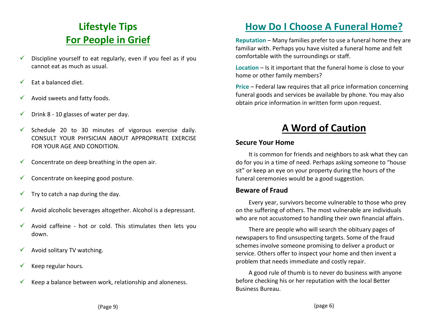# **Lifestyle Tips For People in Grief**

- $\checkmark$  Discipline yourself to eat regularly, even if you feel as if you cannot eat as much as usual.
- $\checkmark$  Eat a balanced diet.
- $\checkmark$  Avoid sweets and fatty foods.
- $\checkmark$  Drink 8 10 glasses of water per day.
- $\checkmark$  Schedule 20 to 30 minutes of vigorous exercise daily. CONSULT YOUR PHYSICIAN ABOUT APPROPRIATE EXERCISE FOR YOUR AGE AND CONDITION.
- $\checkmark$  Concentrate on deep breathing in the open air.
- $\checkmark$  Concentrate on keeping good posture.
- $\checkmark$  Try to catch a nap during the day.
- $\checkmark$  Avoid alcoholic beverages altogether. Alcohol is a depressant.
- $\checkmark$  Avoid caffeine hot or cold. This stimulates then lets you down.
- $\checkmark$  Avoid solitary TV watching.
- $\checkmark$  Keep regular hours.
- Keep a balance between work, relationship and aloneness.

# **How Do I Choose A Funeral Home?**

**Reputation** – Many families prefer to use a funeral home they are familiar with. Perhaps you have visited a funeral home and felt comfortable with the surroundings or staff.

**Location** – Is it important that the funeral home is close to your home or other family members?

**Price** – Federal law requires that all price information concerning funeral goods and services be available by phone. You may also obtain price information in written form upon request.

# **A Word of Caution**

### **Secure Your Home**

It is common for friends and neighbors to ask what they can do for you in a time of need. Perhaps asking someone to "house sit" or keep an eye on your property during the hours of the funeral ceremonies would be a good suggestion.

### **Beware of Fraud**

Every year, survivors become vulnerable to those who prey on the suffering of others. The most vulnerable are individuals who are not accustomed to handling their own financial affairs.

There are people who will search the obituary pages of newspapers to find unsuspecting targets. Some of the fraud schemes involve someone promising to deliver a product or service. Others offer to inspect your home and then invent a problem that needs immediate and costly repair.

A good rule of thumb is to never do business with anyone before checking his or her reputation with the local Better Business Bureau.